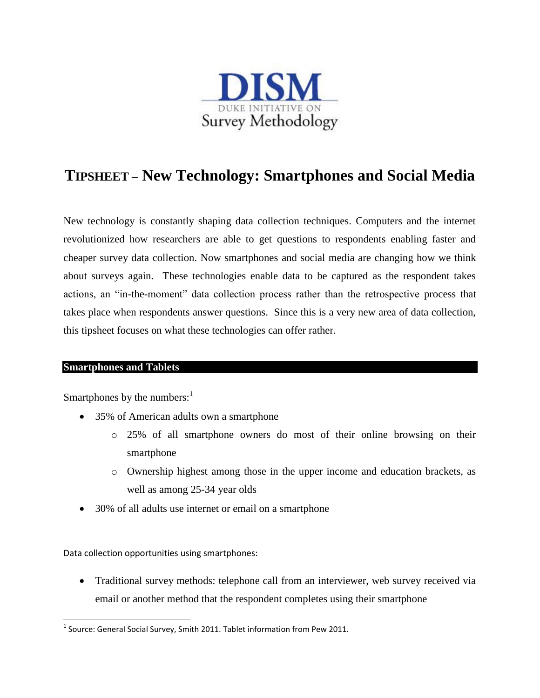

## **TIPSHEET – New Technology: Smartphones and Social Media**

New technology is constantly shaping data collection techniques. Computers and the internet revolutionized how researchers are able to get questions to respondents enabling faster and cheaper survey data collection. Now smartphones and social media are changing how we think about surveys again. These technologies enable data to be captured as the respondent takes actions, an "in-the-moment" data collection process rather than the retrospective process that takes place when respondents answer questions. Since this is a very new area of data collection, this tipsheet focuses on what these technologies can offer rather.

## **Smartphones and Tablets**

 $\overline{\phantom{a}}$ 

Smartphones by the numbers: $<sup>1</sup>$ </sup>

- 35% of American adults own a smartphone
	- o 25% of all smartphone owners do most of their online browsing on their smartphone
	- o Ownership highest among those in the upper income and education brackets, as well as among 25-34 year olds
- 30% of all adults use internet or email on a smartphone

Data collection opportunities using smartphones:

 Traditional survey methods: telephone call from an interviewer, web survey received via email or another method that the respondent completes using their smartphone

 $^1$  Source: General Social Survey, Smith 2011. Tablet information from Pew 2011.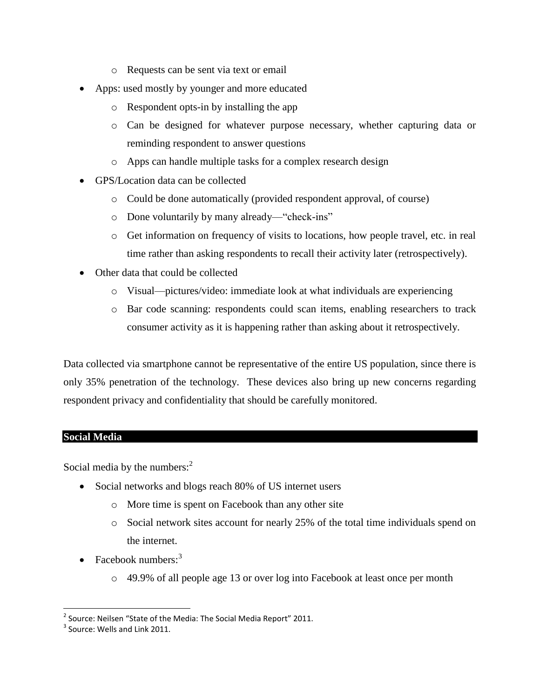- o Requests can be sent via text or email
- Apps: used mostly by younger and more educated
	- o Respondent opts-in by installing the app
	- o Can be designed for whatever purpose necessary, whether capturing data or reminding respondent to answer questions
	- o Apps can handle multiple tasks for a complex research design
- GPS/Location data can be collected
	- o Could be done automatically (provided respondent approval, of course)
	- o Done voluntarily by many already—"check-ins"
	- o Get information on frequency of visits to locations, how people travel, etc. in real time rather than asking respondents to recall their activity later (retrospectively).
- Other data that could be collected
	- o Visual—pictures/video: immediate look at what individuals are experiencing
	- o Bar code scanning: respondents could scan items, enabling researchers to track consumer activity as it is happening rather than asking about it retrospectively.

Data collected via smartphone cannot be representative of the entire US population, since there is only 35% penetration of the technology. These devices also bring up new concerns regarding respondent privacy and confidentiality that should be carefully monitored.

## **Social Media**

Social media by the numbers: $2^2$ 

- Social networks and blogs reach 80% of US internet users
	- o More time is spent on Facebook than any other site
	- o Social network sites account for nearly 25% of the total time individuals spend on the internet.
- Facebook numbers: $3$ 
	- o 49.9% of all people age 13 or over log into Facebook at least once per month

l  $^{2}$  Source: Neilsen "State of the Media: The Social Media Report" 2011.

 $3$  Source: Wells and Link 2011.